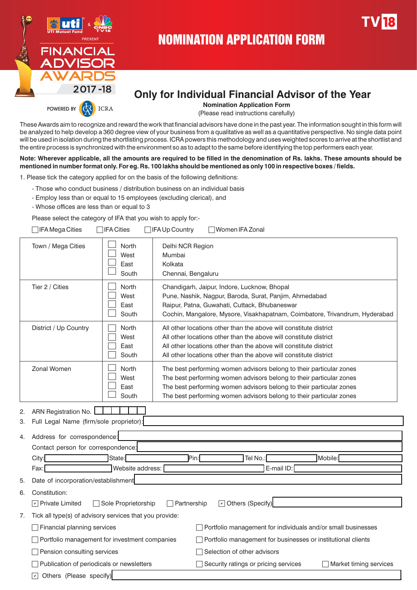

## NOMINATION APPLICATION FORM

# **Only for Individual Financial Advisor of the Year**

 **Nomination Application Form** 

(Please read instructions carefully)

These Awards aim to recognize and reward the work that financial advisors have done in the past year. The information sought in this form will be analyzed to help develop a 360 degree view of your business from a qualitative as well as a quantitative perspective. No single data point will be used in isolation during the shortlisting process. ICRA powers this methodology and uses weighted scores to arrive at the shortlist and the entire process is synchronized with the environment so as to adapt to the same before identifying the top performers each year.

**Note: Wherever applicable, all the amounts are required to be filled in the denomination of Rs. lakhs. These amounts should be mentioned in number format only. For eg. Rs. 100 lakhs should be mentioned as only 100 in respective boxes / fields.** 

1. Please tick the category applied for on the basis of the following definitions:

- Those who conduct business / distribution business on an individual basis
- Employ less than or equal to 15 employees (excluding clerical), and
- Whose offices are less than or equal to 3

Please select the category of IFA that you wish to apply for:-

|    | □IFA Mega Cities                                                                                      | ∏IFA Cities                    | $\Box$ IFA Up Country                                       |  | $\Box$ Women IFA Zonal                                                                                                                                                                                                                                                                   |  |                                                                             |
|----|-------------------------------------------------------------------------------------------------------|--------------------------------|-------------------------------------------------------------|--|------------------------------------------------------------------------------------------------------------------------------------------------------------------------------------------------------------------------------------------------------------------------------------------|--|-----------------------------------------------------------------------------|
|    | Town / Mega Cities                                                                                    | North<br>West<br>East<br>South | Delhi NCR Region<br>Mumbai<br>Kolkata<br>Chennai, Bengaluru |  |                                                                                                                                                                                                                                                                                          |  |                                                                             |
|    | Tier 2 / Cities                                                                                       | North<br>West<br>East<br>South |                                                             |  | Chandigarh, Jaipur, Indore, Lucknow, Bhopal<br>Pune, Nashik, Nagpur, Baroda, Surat, Panjim, Ahmedabad<br>Raipur, Patna, Guwahati, Cuttack, Bhubaneswar                                                                                                                                   |  | Cochin, Mangalore, Mysore, Visakhapatnam, Coimbatore, Trivandrum, Hyderabad |
|    | District / Up Country                                                                                 | North<br>West<br>East<br>South |                                                             |  | All other locations other than the above will constitute district<br>All other locations other than the above will constitute district<br>All other locations other than the above will constitute district<br>All other locations other than the above will constitute district         |  |                                                                             |
|    | Zonal Women                                                                                           | North<br>West<br>East<br>South |                                                             |  | The best performing women advisors belong to their particular zones<br>The best performing women advisors belong to their particular zones<br>The best performing women advisors belong to their particular zones<br>The best performing women advisors belong to their particular zones |  |                                                                             |
| 2. | ARN Registration No.                                                                                  |                                |                                                             |  |                                                                                                                                                                                                                                                                                          |  |                                                                             |
| 3. | Full Legal Name (firm/sole proprietor):                                                               |                                |                                                             |  |                                                                                                                                                                                                                                                                                          |  |                                                                             |
| 4. | Address for correspondence:                                                                           |                                |                                                             |  |                                                                                                                                                                                                                                                                                          |  |                                                                             |
|    | Contact person for correspondence:                                                                    |                                |                                                             |  |                                                                                                                                                                                                                                                                                          |  |                                                                             |
|    | City:                                                                                                 | State:                         | Pin:                                                        |  | Tel No.:                                                                                                                                                                                                                                                                                 |  | Mobile:                                                                     |
|    | Fax:                                                                                                  | Website address:               |                                                             |  | E-mail ID:                                                                                                                                                                                                                                                                               |  |                                                                             |
| 5. | Date of incorporation/establishment                                                                   |                                |                                                             |  |                                                                                                                                                                                                                                                                                          |  |                                                                             |
| 6. | Constitution:                                                                                         |                                |                                                             |  |                                                                                                                                                                                                                                                                                          |  |                                                                             |
|    | Others (Specify)<br>$\Box$ Partnership<br>$\boxed{\mathsf{v}}$ Private Limited<br>Sole Proprietorship |                                |                                                             |  |                                                                                                                                                                                                                                                                                          |  |                                                                             |
|    | 7. Tick all type(s) of advisory services that you provide:                                            |                                |                                                             |  |                                                                                                                                                                                                                                                                                          |  |                                                                             |
|    | <b>Financial planning services</b>                                                                    |                                |                                                             |  |                                                                                                                                                                                                                                                                                          |  | Portfolio management for individuals and/or small businesses                |
|    | Portfolio management for investment companies                                                         |                                |                                                             |  |                                                                                                                                                                                                                                                                                          |  | Portfolio management for businesses or institutional clients                |
|    | Pension consulting services                                                                           |                                |                                                             |  | Selection of other advisors                                                                                                                                                                                                                                                              |  |                                                                             |
|    | Publication of periodicals or newsletters                                                             |                                |                                                             |  | Security ratings or pricing services                                                                                                                                                                                                                                                     |  | Market timing services                                                      |
|    | Others (Please specify)<br>ا⊽                                                                         |                                |                                                             |  |                                                                                                                                                                                                                                                                                          |  |                                                                             |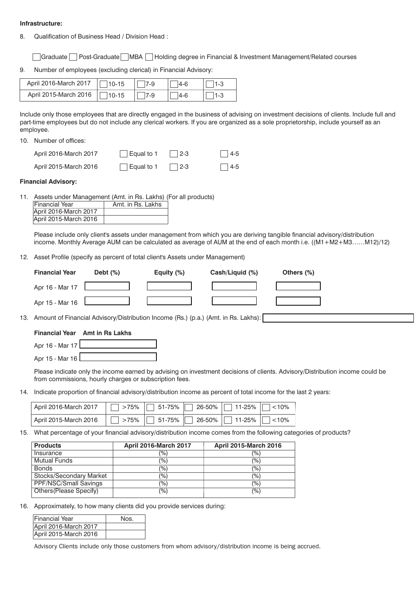#### **Infrastructure:**

8. Qualification of Business Head / Division Head :

Graduate Post-Graduate MBA Holding degree in Financial & Investment Management/Related courses

9. Number of employees (excluding clerical) in Financial Advisory:

| April 2016-March 2017 | $  $ 10-15 | 7-9 | 14-6 |  |
|-----------------------|------------|-----|------|--|
| April 2015-March 2016 | $  $ 10-15 | 7-9 | 14-6 |  |

Include only those employees that are directly engaged in the business of advising on investment decisions of clients. Include full and part-time employees but do not include any clerical workers. If you are organized as a sole proprietorship, include yourself as an employee.

10. Number of offices:

| April 2016-March 2017 | $\vert$ Equal to 1 | $\vert$ 2-3 | $ 4-5 $    |
|-----------------------|--------------------|-------------|------------|
| April 2015-March 2016 | $\vert$ Equal to 1 | $\vert$ 2-3 | $\Box$ 4-5 |

#### **Financial Advisory:**

11. Assets under Management (Amt. in Rs. Lakhs) (For all products)

| <b>Financial Year</b> | Amt. in Rs. Lakhs |
|-----------------------|-------------------|
| April 2016-March 2017 |                   |
| April 2015-March 2016 |                   |

Please include only client's assets under management from which you are deriving tangible financial advisory/distribution income. Monthly Average AUM can be calculated as average of AUM at the end of each month i.e. ((M1+M2+M3……M12)/12)

12. Asset Profile (specify as percent of total client's Assets under Management)

|     | <b>Financial Year</b>                                                                                           | Debt $(\%)$<br>Equity (%)    |        | Cash/Liquid (%)              | Others (%)                                                                                                                   |  |  |  |
|-----|-----------------------------------------------------------------------------------------------------------------|------------------------------|--------|------------------------------|------------------------------------------------------------------------------------------------------------------------------|--|--|--|
|     | Apr 16 - Mar 17                                                                                                 |                              |        |                              |                                                                                                                              |  |  |  |
|     | Apr 15 - Mar 16                                                                                                 |                              |        |                              |                                                                                                                              |  |  |  |
| 13. | Amount of Financial Advisory/Distribution Income (Rs.) (p.a.) (Amt. in Rs. Lakhs):                              |                              |        |                              |                                                                                                                              |  |  |  |
|     | <b>Financial Year</b> Amt in Rs Lakhs                                                                           |                              |        |                              |                                                                                                                              |  |  |  |
|     | Apr 16 - Mar 17                                                                                                 |                              |        |                              |                                                                                                                              |  |  |  |
|     | Apr 15 - Mar 16                                                                                                 |                              |        |                              |                                                                                                                              |  |  |  |
|     | from commissions, hourly charges or subscription fees.                                                          |                              |        |                              | Please indicate only the income earned by advising on investment decisions of clients. Advisory/Distribution income could be |  |  |  |
| 14. | Indicate proportion of financial advisory/distribution income as percent of total income for the last 2 years:  |                              |        |                              |                                                                                                                              |  |  |  |
|     | April 2016-March 2017                                                                                           | 51-75%<br>>75%               | 26-50% | 11-25%                       | < 10%                                                                                                                        |  |  |  |
|     | April 2015-March 2016                                                                                           | 51-75%<br>>75%               | 26-50% | 11-25%                       | < 10%                                                                                                                        |  |  |  |
| 15. | What percentage of your financial advisory/distribution income comes from the following categories of products? |                              |        |                              |                                                                                                                              |  |  |  |
|     | <b>Products</b>                                                                                                 | <b>April 2016-March 2017</b> |        | <b>April 2015-March 2016</b> |                                                                                                                              |  |  |  |
|     | Insurance                                                                                                       | (%)                          |        | $(\%)$                       |                                                                                                                              |  |  |  |
|     | <b>Mutual Funds</b>                                                                                             | $(\%)$                       |        | $(\%)$                       |                                                                                                                              |  |  |  |
|     | <b>Bonds</b>                                                                                                    | (%)                          |        | $(\%)$                       |                                                                                                                              |  |  |  |
|     | Stocks/Secondary Market                                                                                         | $(\% )$                      |        | (%)                          |                                                                                                                              |  |  |  |

16. Approximately, to how many clients did you provide services during:

PPF/NSC/Small Savings (%) (%) (%) Others(Please Specify) ……….(%) ……….(%)

| <b>Financial Year</b> | Nos. |
|-----------------------|------|
| April 2016-March 2017 |      |
| April 2015-March 2016 |      |

*Advisory Clients include only those customers from whom advisory/distribution income is being accrued.*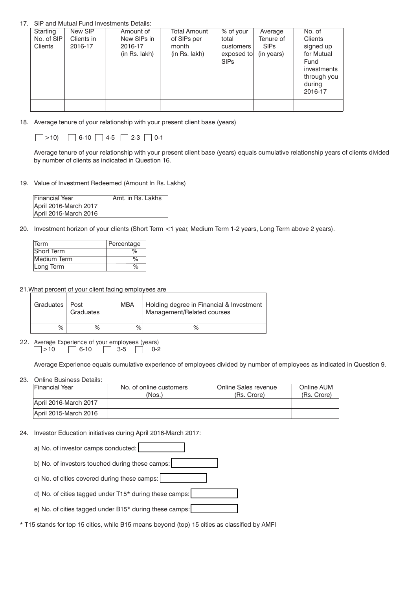#### 17. SIP and Mutual Fund Investments Details:

| Starting<br>No. of SIP<br><b>Clients</b> | New SIP<br>Clients in<br>2016-17 | Amount of<br>New SIPs in<br>2016-17<br>(in Rs. lakh) | Total Amount<br>of SIPs per<br>month<br>(in Rs. lakh) | % of your<br>total<br>customers<br>exposed to<br><b>SIPs</b> | Average<br>Tenure of<br><b>SIPs</b><br>(in years) | No. of<br>Clients<br>signed up<br>for Mutual<br>Fund<br>investments<br>through you<br>during<br>2016-17 |
|------------------------------------------|----------------------------------|------------------------------------------------------|-------------------------------------------------------|--------------------------------------------------------------|---------------------------------------------------|---------------------------------------------------------------------------------------------------------|
|                                          |                                  |                                                      |                                                       |                                                              |                                                   |                                                                                                         |

18*.* Average tenure of your relationship with your present client base (years)

| >10 | $\Box$ 6-10 $\Box$ 4-5 $\Box$ 2-3 $\Box$ 0-1 |  |  |  |
|-----|----------------------------------------------|--|--|--|
|-----|----------------------------------------------|--|--|--|

Average tenure of your relationship with your present client base (years) equals cumulative relationship years of clients divided by number of clients as indicated in Question 16.

#### 19. Value of Investment Redeemed (Amount In Rs. Lakhs)

| Financial Year        | Amt. in Rs. Lakhs |
|-----------------------|-------------------|
| April 2016-March 2017 |                   |
| April 2015-March 2016 |                   |

20. Investment horizon of your clients (Short Term <1 year, Medium Term 1-2 years, Long Term above 2 years).

| Term        | Percentage |
|-------------|------------|
| Short Term  | ℅          |
| Medium Term | %          |
| Long Term   | ℅          |

21. What percent of your client facing employees are

| Graduates   Post | Graduates | <b>MBA</b> | Holding degree in Financial & Investment<br>Management/Related courses |
|------------------|-----------|------------|------------------------------------------------------------------------|
| % .              | $\%$      | %          | %                                                                      |

*22. Average Experience of your employees (years)* >10 6-103-50-2

Average Experience equals cumulative experience of employees divided by number of employees as indicated in Question 9.

#### 23. Online Business Details:

| Financial Year        | No. of online customers | Online Sales revenue | Online AUM  |
|-----------------------|-------------------------|----------------------|-------------|
|                       | (Nos.)                  | (Rs. Crore)          | (Rs. Crore) |
| April 2016-March 2017 |                         |                      |             |
| April 2015-March 2016 |                         |                      |             |

24. Investor Education initiatives during April 2016-March 2017:

a) No. of investor camps conducted: b) No. of investors touched during these camps: c) No. of cities covered during these camps: d) No. of cities tagged under T15\* during these camps: e) No. of cities tagged under B15\* during these camps:

\* T15 stands for top 15 cities, while B15 means beyond (top) 15 cities as classified by AMFI